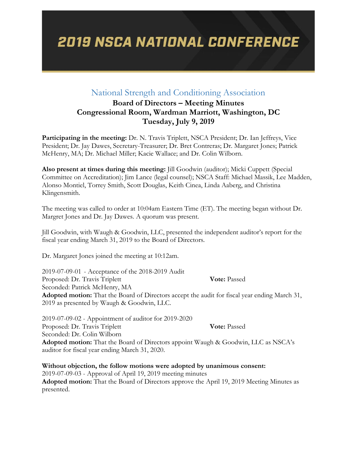### National Strength and Conditioning Association

### **Board of Directors – Meeting Minutes Congressional Room, Wardman Marriott, Washington, DC Tuesday, July 9, 2019**

**Participating in the meeting:** Dr. N. Travis Triplett, NSCA President; Dr. Ian Jeffreys, Vice President; Dr. Jay Dawes, Secretary-Treasurer; Dr. Bret Contreras; Dr. Margaret Jones; Patrick McHenry, MA; Dr. Michael Miller; Kacie Wallace; and Dr. Colin Wilborn.

**Also present at times during this meeting:** Jill Goodwin (auditor); Micki Cuppett (Special Committee on Accreditation); Jim Lance (legal counsel); NSCA Staff: Michael Massik, Lee Madden, Alonso Montiel, Torrey Smith, Scott Douglas, Keith Cinea, Linda Aaberg, and Christina Klingensmith.

The meeting was called to order at 10:04am Eastern Time (ET). The meeting began without Dr. Margret Jones and Dr. Jay Dawes. A quorum was present.

Jill Goodwin, with Waugh & Goodwin, LLC, presented the independent auditor's report for the fiscal year ending March 31, 2019 to the Board of Directors.

Dr. Margaret Jones joined the meeting at 10:12am.

2019-07-09-01 - Acceptance of the 2018-2019 Audit Proposed: Dr. Travis Triplett **Vote:** Passed Seconded: Patrick McHenry, MA **Adopted motion:** That the Board of Directors accept the audit for fiscal year ending March 31, 2019 as presented by Waugh & Goodwin, LLC.

2019-07-09-02 - Appointment of auditor for 2019-2020 Proposed: Dr. Travis Triplett **Vote:** Passed Seconded: Dr. Colin Wilborn **Adopted motion:** That the Board of Directors appoint Waugh & Goodwin, LLC as NSCA's auditor for fiscal year ending March 31, 2020.

**Without objection, the follow motions were adopted by unanimous consent:** 2019-07-09-03 - Approval of April 19, 2019 meeting minutes **Adopted motion:** That the Board of Directors approve the April 19, 2019 Meeting Minutes as presented.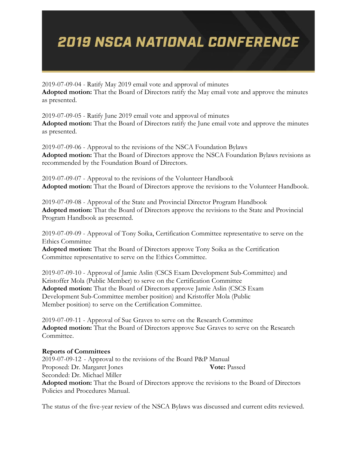2019-07-09-04 - Ratify May 2019 email vote and approval of minutes **Adopted motion:** That the Board of Directors ratify the May email vote and approve the minutes as presented.

2019-07-09-05 - Ratify June 2019 email vote and approval of minutes **Adopted motion:** That the Board of Directors ratify the June email vote and approve the minutes as presented.

2019-07-09-06 - Approval to the revisions of the NSCA Foundation Bylaws **Adopted motion:** That the Board of Directors approve the NSCA Foundation Bylaws revisions as recommended by the Foundation Board of Directors.

2019-07-09-07 - Approval to the revisions of the Volunteer Handbook **Adopted motion:** That the Board of Directors approve the revisions to the Volunteer Handbook.

2019-07-09-08 - Approval of the State and Provincial Director Program Handbook **Adopted motion:** That the Board of Directors approve the revisions to the State and Provincial Program Handbook as presented.

2019-07-09-09 - Approval of Tony Soika, Certification Committee representative to serve on the Ethics Committee

**Adopted motion:** That the Board of Directors approve Tony Soika as the Certification Committee representative to serve on the Ethics Committee.

2019-07-09-10 - Approval of Jamie Aslin (CSCS Exam Development Sub-Committee) and Kristoffer Mola (Public Member) to serve on the Certification Committee **Adopted motion:** That the Board of Directors approve Jamie Aslin (CSCS Exam Development Sub-Committee member position) and Kristoffer Mola (Public Member position) to serve on the Certification Committee.

2019-07-09-11 - Approval of Sue Graves to serve on the Research Committee **Adopted motion:** That the Board of Directors approve Sue Graves to serve on the Research Committee.

#### **Reports of Committees**

2019-07-09-12 - Approval to the revisions of the Board P&P Manual Proposed: Dr. Margaret Jones **Vote:** Passed Seconded: Dr. Michael Miller **Adopted motion:** That the Board of Directors approve the revisions to the Board of Directors Policies and Procedures Manual.

The status of the five-year review of the NSCA Bylaws was discussed and current edits reviewed.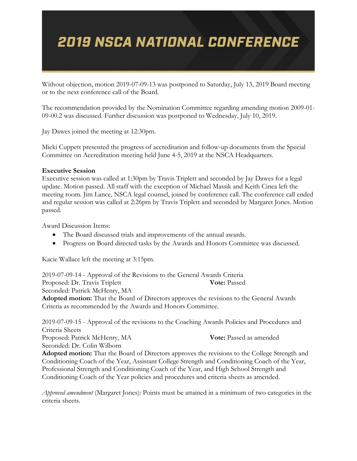Without objection, motion 2019-07-09-13 was postponed to Saturday, July 13, 2019 Board meeting or to the next conference call of the Board.

The recommendation provided by the Nomination Committee regarding amending motion 2009-01- 09-00.2 was discussed. Further discussion was postponed to Wednesday, July 10, 2019.

Jay Dawes joined the meeting at 12:30pm.

Micki Cuppett presented the progress of accreditation and follow-up documents from the Special Committee on Accreditation meeting held June 4-5, 2019 at the NSCA Headquarters.

#### **Executive Session**

Executive session was called at 1:30pm by Travis Triplett and seconded by Jay Dawes for a legal update. Motion passed. All staff with the exception of Michael Massik and Keith Cinea left the meeting room. Jim Lance, NSCA legal counsel, joined by conference call. The conference call ended and regular session was called at 2:26pm by Travis Triplett and seconded by Margaret Jones. Motion passed.

Award Discussion Items:

- The Board discussed trials and improvements of the annual awards.
- Progress on Board directed tasks by the Awards and Honors Committee was discussed.

Kacie Wallace left the meeting at 3:15pm.

2019-07-09-14 - Approval of the Revisions to the General Awards Criteria Proposed: Dr. Travis Triplett **Vote:** Passed Seconded: Patrick McHenry, MA **Adopted motion:** That the Board of Directors approves the revisions to the General Awards Criteria as recommended by the Awards and Honors Committee.

2019-07-09-15 - Approval of the revisions to the Coaching Awards Policies and Procedures and Criteria Sheets Proposed: Patrick McHenry, MA **Vote:** Passed as amended Seconded: Dr. Colin Wilborn **Adopted motion:** That the Board of Directors approves the revisions to the College Strength and Conditioning Coach of the Year, Assistant College Strength and Conditioning Coach of the Year, Professional Strength and Conditioning Coach of the Year, and High School Strength and Conditioning Coach of the Year policies and procedures and criteria sheets as amended.

*Approved amendment* (Margaret Jones): Points must be attained in a minimum of two categories in the criteria sheets.